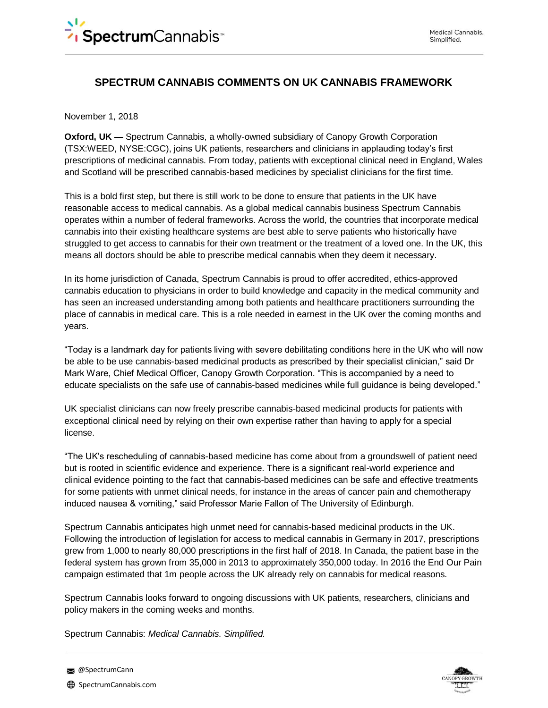# **SPECTRUM CANNABIS COMMENTS ON UK CANNABIS FRAMEWORK**

November 1, 2018

**Oxford, UK —** Spectrum Cannabis, a wholly-owned subsidiary of Canopy Growth Corporation (TSX:WEED, NYSE:CGC), joins UK patients, researchers and clinicians in applauding today's first prescriptions of medicinal cannabis. From today, patients with exceptional clinical need in England, Wales and Scotland will be prescribed cannabis-based medicines by specialist clinicians for the first time.

This is a bold first step, but there is still work to be done to ensure that patients in the UK have reasonable access to medical cannabis. As a global medical cannabis business Spectrum Cannabis operates within a number of federal frameworks. Across the world, the countries that incorporate medical cannabis into their existing healthcare systems are best able to serve patients who historically have struggled to get access to cannabis for their own treatment or the treatment of a loved one. In the UK, this means all doctors should be able to prescribe medical cannabis when they deem it necessary.

In its home jurisdiction of Canada, Spectrum Cannabis is proud to offer accredited, ethics-approved cannabis education to physicians in order to build knowledge and capacity in the medical community and has seen an increased understanding among both patients and healthcare practitioners surrounding the place of cannabis in medical care. This is a role needed in earnest in the UK over the coming months and years.

"Today is a landmark day for patients living with severe debilitating conditions here in the UK who will now be able to be use cannabis-based medicinal products as prescribed by their specialist clinician," said Dr Mark Ware, Chief Medical Officer, Canopy Growth Corporation. "This is accompanied by a need to educate specialists on the safe use of cannabis-based medicines while full guidance is being developed."

UK specialist clinicians can now freely prescribe cannabis-based medicinal products for patients with exceptional clinical need by relying on their own expertise rather than having to apply for a special license.

"The UK's rescheduling of cannabis-based medicine has come about from a groundswell of patient need but is rooted in scientific evidence and experience. There is a significant real-world experience and clinical evidence pointing to the fact that cannabis-based medicines can be safe and effective treatments for some patients with unmet clinical needs, for instance in the areas of cancer pain and chemotherapy induced nausea & vomiting," said Professor Marie Fallon of The University of Edinburgh.

Spectrum Cannabis anticipates high unmet need for cannabis-based medicinal products in the UK. Following the introduction of legislation for access to medical cannabis in Germany in 2017, prescriptions grew from 1,000 to nearly 80,000 prescriptions in the first half of 2018. In Canada, the patient base in the federal system has grown from 35,000 in 2013 to approximately 350,000 today. In 2016 the End Our Pain campaign estimated that 1m people across the UK already rely on cannabis for medical reasons.

Spectrum Cannabis looks forward to ongoing discussions with UK patients, researchers, clinicians and policy makers in the coming weeks and months.

Spectrum Cannabis: *Medical Cannabis. Simplified.*



**@SpectrumCann**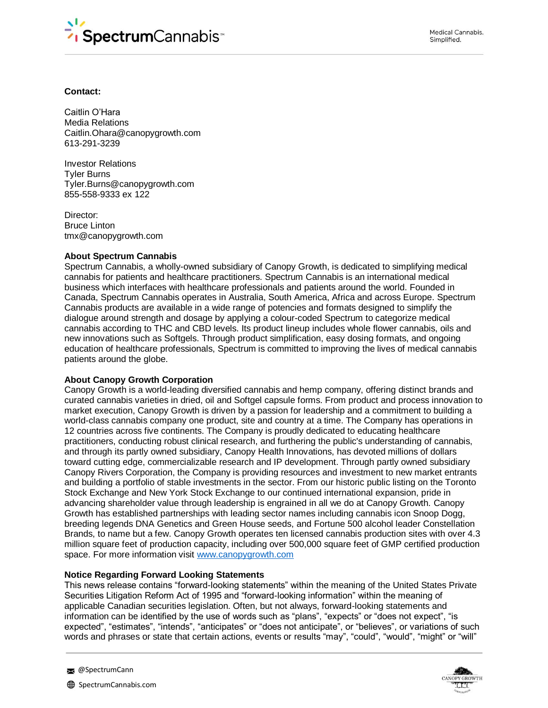

# **Contact:**

Caitlin O'Hara Media Relations Caitlin.Ohara@canopygrowth.com 613-291-3239

Investor Relations Tyler Burns Tyler.Burns@canopygrowth.com 855-558-9333 ex 122

Director: Bruce Linton tmx@canopygrowth.com

# **About Spectrum Cannabis**

Spectrum Cannabis, a wholly-owned subsidiary of Canopy Growth, is dedicated to simplifying medical cannabis for patients and healthcare practitioners. Spectrum Cannabis is an international medical business which interfaces with healthcare professionals and patients around the world. Founded in Canada, Spectrum Cannabis operates in Australia, South America, Africa and across Europe. Spectrum Cannabis products are available in a wide range of potencies and formats designed to simplify the dialogue around strength and dosage by applying a colour-coded Spectrum to categorize medical cannabis according to THC and CBD levels. Its product lineup includes whole flower cannabis, oils and new innovations such as Softgels. Through product simplification, easy dosing formats, and ongoing education of healthcare professionals, Spectrum is committed to improving the lives of medical cannabis patients around the globe.

### **About Canopy Growth Corporation**

Canopy Growth is a world-leading diversified cannabis and hemp company, offering distinct brands and curated cannabis varieties in dried, oil and Softgel capsule forms. From product and process innovation to market execution, Canopy Growth is driven by a passion for leadership and a commitment to building a world-class cannabis company one product, site and country at a time. The Company has operations in 12 countries across five continents. The Company is proudly dedicated to educating healthcare practitioners, conducting robust clinical research, and furthering the public's understanding of cannabis, and through its partly owned subsidiary, Canopy Health Innovations, has devoted millions of dollars toward cutting edge, commercializable research and IP development. Through partly owned subsidiary Canopy Rivers Corporation, the Company is providing resources and investment to new market entrants and building a portfolio of stable investments in the sector. From our historic public listing on the Toronto Stock Exchange and New York Stock Exchange to our continued international expansion, pride in advancing shareholder value through leadership is engrained in all we do at Canopy Growth. Canopy Growth has established partnerships with leading sector names including cannabis icon Snoop Dogg, breeding legends DNA Genetics and Green House seeds, and Fortune 500 alcohol leader Constellation Brands, to name but a few. Canopy Growth operates ten licensed cannabis production sites with over 4.3 million square feet of production capacity, including over 500,000 square feet of GMP certified production space. For more information visit [www.canopygrowth.com](http://www.canopygrowth.com/)

### **Notice Regarding Forward Looking Statements**

This news release contains "forward-looking statements" within the meaning of the United States Private Securities Litigation Reform Act of 1995 and "forward-looking information" within the meaning of applicable Canadian securities legislation. Often, but not always, forward-looking statements and information can be identified by the use of words such as "plans", "expects" or "does not expect", "is expected", "estimates", "intends", "anticipates" or "does not anticipate", or "believes", or variations of such words and phrases or state that certain actions, events or results "may", "could", "would", "might" or "will"